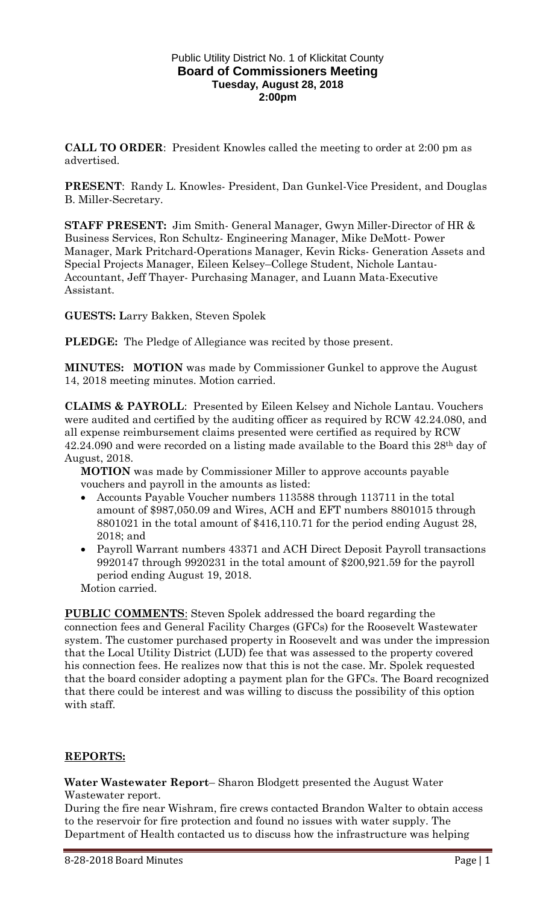## Public Utility District No. 1 of Klickitat County **Board of Commissioners Meeting Tuesday, August 28, 2018 2:00pm**

**CALL TO ORDER**: President Knowles called the meeting to order at 2:00 pm as advertised.

**PRESENT**: Randy L. Knowles- President, Dan Gunkel-Vice President, and Douglas B. Miller-Secretary.

**STAFF PRESENT:** Jim Smith- General Manager, Gwyn Miller-Director of HR & Business Services, Ron Schultz- Engineering Manager, Mike DeMott- Power Manager, Mark Pritchard-Operations Manager, Kevin Ricks- Generation Assets and Special Projects Manager, Eileen Kelsey–College Student, Nichole Lantau-Accountant, Jeff Thayer- Purchasing Manager, and Luann Mata-Executive Assistant.

**GUESTS: L**arry Bakken, Steven Spolek

**PLEDGE:** The Pledge of Allegiance was recited by those present.

**MINUTES: MOTION** was made by Commissioner Gunkel to approve the August 14, 2018 meeting minutes. Motion carried.

**CLAIMS & PAYROLL**: Presented by Eileen Kelsey and Nichole Lantau. Vouchers were audited and certified by the auditing officer as required by RCW 42.24.080, and all expense reimbursement claims presented were certified as required by RCW 42.24.090 and were recorded on a listing made available to the Board this 28th day of August, 2018.

**MOTION** was made by Commissioner Miller to approve accounts payable vouchers and payroll in the amounts as listed:

- Accounts Payable Voucher numbers 113588 through 113711 in the total amount of \$987,050.09 and Wires, ACH and EFT numbers 8801015 through 8801021 in the total amount of \$416,110.71 for the period ending August 28, 2018; and
- Payroll Warrant numbers 43371 and ACH Direct Deposit Payroll transactions 9920147 through 9920231 in the total amount of \$200,921.59 for the payroll period ending August 19, 2018.

Motion carried.

**PUBLIC COMMENTS**: Steven Spolek addressed the board regarding the connection fees and General Facility Charges (GFCs) for the Roosevelt Wastewater system. The customer purchased property in Roosevelt and was under the impression that the Local Utility District (LUD) fee that was assessed to the property covered his connection fees. He realizes now that this is not the case. Mr. Spolek requested that the board consider adopting a payment plan for the GFCs. The Board recognized that there could be interest and was willing to discuss the possibility of this option with staff.

## **REPORTS:**

**Water Wastewater Report**– Sharon Blodgett presented the August Water Wastewater report.

During the fire near Wishram, fire crews contacted Brandon Walter to obtain access to the reservoir for fire protection and found no issues with water supply. The Department of Health contacted us to discuss how the infrastructure was helping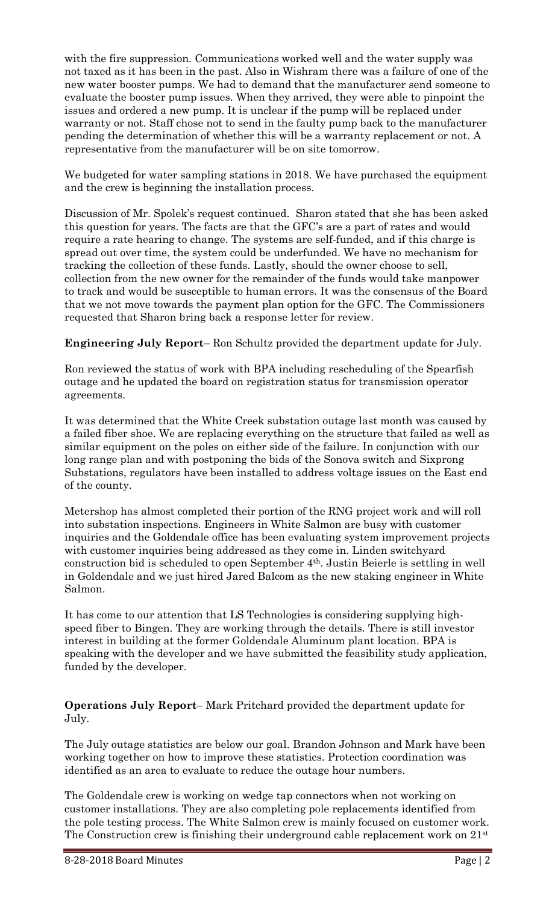with the fire suppression. Communications worked well and the water supply was not taxed as it has been in the past. Also in Wishram there was a failure of one of the new water booster pumps. We had to demand that the manufacturer send someone to evaluate the booster pump issues. When they arrived, they were able to pinpoint the issues and ordered a new pump. It is unclear if the pump will be replaced under warranty or not. Staff chose not to send in the faulty pump back to the manufacturer pending the determination of whether this will be a warranty replacement or not. A representative from the manufacturer will be on site tomorrow.

We budgeted for water sampling stations in 2018. We have purchased the equipment and the crew is beginning the installation process.

Discussion of Mr. Spolek's request continued. Sharon stated that she has been asked this question for years. The facts are that the GFC's are a part of rates and would require a rate hearing to change. The systems are self-funded, and if this charge is spread out over time, the system could be underfunded. We have no mechanism for tracking the collection of these funds. Lastly, should the owner choose to sell, collection from the new owner for the remainder of the funds would take manpower to track and would be susceptible to human errors. It was the consensus of the Board that we not move towards the payment plan option for the GFC. The Commissioners requested that Sharon bring back a response letter for review.

**Engineering July Report**– Ron Schultz provided the department update for July.

Ron reviewed the status of work with BPA including rescheduling of the Spearfish outage and he updated the board on registration status for transmission operator agreements.

It was determined that the White Creek substation outage last month was caused by a failed fiber shoe. We are replacing everything on the structure that failed as well as similar equipment on the poles on either side of the failure. In conjunction with our long range plan and with postponing the bids of the Sonova switch and Sixprong Substations, regulators have been installed to address voltage issues on the East end of the county.

Metershop has almost completed their portion of the RNG project work and will roll into substation inspections. Engineers in White Salmon are busy with customer inquiries and the Goldendale office has been evaluating system improvement projects with customer inquiries being addressed as they come in. Linden switchyard construction bid is scheduled to open September 4th. Justin Beierle is settling in well in Goldendale and we just hired Jared Balcom as the new staking engineer in White Salmon.

It has come to our attention that LS Technologies is considering supplying highspeed fiber to Bingen. They are working through the details. There is still investor interest in building at the former Goldendale Aluminum plant location. BPA is speaking with the developer and we have submitted the feasibility study application, funded by the developer.

**Operations July Report**– Mark Pritchard provided the department update for July.

The July outage statistics are below our goal. Brandon Johnson and Mark have been working together on how to improve these statistics. Protection coordination was identified as an area to evaluate to reduce the outage hour numbers.

The Goldendale crew is working on wedge tap connectors when not working on customer installations. They are also completing pole replacements identified from the pole testing process. The White Salmon crew is mainly focused on customer work. The Construction crew is finishing their underground cable replacement work on 21st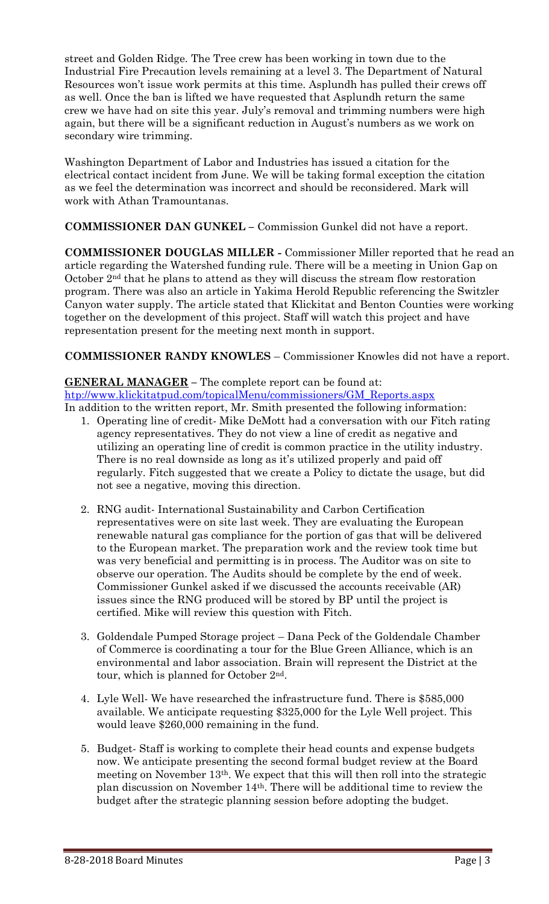street and Golden Ridge. The Tree crew has been working in town due to the Industrial Fire Precaution levels remaining at a level 3. The Department of Natural Resources won't issue work permits at this time. Asplundh has pulled their crews off as well. Once the ban is lifted we have requested that Asplundh return the same crew we have had on site this year. July's removal and trimming numbers were high again, but there will be a significant reduction in August's numbers as we work on secondary wire trimming.

Washington Department of Labor and Industries has issued a citation for the electrical contact incident from June. We will be taking formal exception the citation as we feel the determination was incorrect and should be reconsidered. Mark will work with Athan Tramountanas.

**COMMISSIONER DAN GUNKEL –** Commission Gunkel did not have a report.

**COMMISSIONER DOUGLAS MILLER -** Commissioner Miller reported that he read an article regarding the Watershed funding rule. There will be a meeting in Union Gap on October 2nd that he plans to attend as they will discuss the stream flow restoration program. There was also an article in Yakima Herold Republic referencing the Switzler Canyon water supply. The article stated that Klickitat and Benton Counties were working together on the development of this project. Staff will watch this project and have representation present for the meeting next month in support.

**COMMISSIONER RANDY KNOWLES** – Commissioner Knowles did not have a report.

## **GENERAL MANAGER –** The complete report can be found at:

[htp://www.klickitatpud.com/topicalMenu/commissioners/GM\\_Reports.aspx](http://www.klickitatpud.com/topicalMenu/commissioners/GM_Reports.aspx)

- In addition to the written report, Mr. Smith presented the following information: 1. Operating line of credit- Mike DeMott had a conversation with our Fitch rating agency representatives. They do not view a line of credit as negative and utilizing an operating line of credit is common practice in the utility industry. There is no real downside as long as it's utilized properly and paid off regularly. Fitch suggested that we create a Policy to dictate the usage, but did not see a negative, moving this direction.
	- 2. RNG audit- International Sustainability and Carbon Certification representatives were on site last week. They are evaluating the European renewable natural gas compliance for the portion of gas that will be delivered to the European market. The preparation work and the review took time but was very beneficial and permitting is in process. The Auditor was on site to observe our operation. The Audits should be complete by the end of week. Commissioner Gunkel asked if we discussed the accounts receivable (AR) issues since the RNG produced will be stored by BP until the project is certified. Mike will review this question with Fitch.
	- 3. Goldendale Pumped Storage project Dana Peck of the Goldendale Chamber of Commerce is coordinating a tour for the Blue Green Alliance, which is an environmental and labor association. Brain will represent the District at the tour, which is planned for October 2nd.
	- 4. Lyle Well- We have researched the infrastructure fund. There is \$585,000 available. We anticipate requesting \$325,000 for the Lyle Well project. This would leave \$260,000 remaining in the fund.
	- 5. Budget- Staff is working to complete their head counts and expense budgets now. We anticipate presenting the second formal budget review at the Board meeting on November 13th. We expect that this will then roll into the strategic plan discussion on November 14th. There will be additional time to review the budget after the strategic planning session before adopting the budget.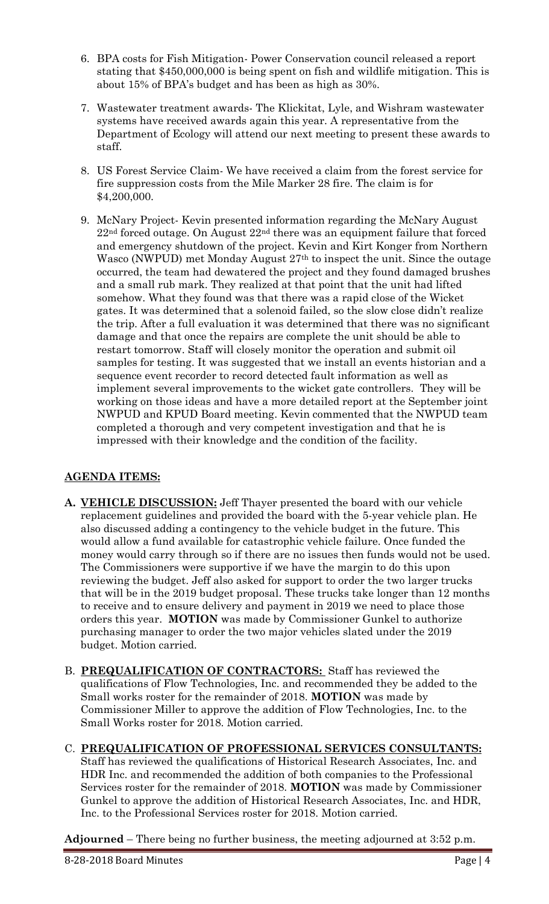- 6. BPA costs for Fish Mitigation- Power Conservation council released a report stating that \$450,000,000 is being spent on fish and wildlife mitigation. This is about 15% of BPA's budget and has been as high as 30%.
- 7. Wastewater treatment awards- The Klickitat, Lyle, and Wishram wastewater systems have received awards again this year. A representative from the Department of Ecology will attend our next meeting to present these awards to staff.
- 8. US Forest Service Claim- We have received a claim from the forest service for fire suppression costs from the Mile Marker 28 fire. The claim is for \$4,200,000.
- 9. McNary Project- Kevin presented information regarding the McNary August  $22<sup>nd</sup>$  forced outage. On August  $22<sup>nd</sup>$  there was an equipment failure that forced and emergency shutdown of the project. Kevin and Kirt Konger from Northern Wasco (NWPUD) met Monday August 27th to inspect the unit. Since the outage occurred, the team had dewatered the project and they found damaged brushes and a small rub mark. They realized at that point that the unit had lifted somehow. What they found was that there was a rapid close of the Wicket gates. It was determined that a solenoid failed, so the slow close didn't realize the trip. After a full evaluation it was determined that there was no significant damage and that once the repairs are complete the unit should be able to restart tomorrow. Staff will closely monitor the operation and submit oil samples for testing. It was suggested that we install an events historian and a sequence event recorder to record detected fault information as well as implement several improvements to the wicket gate controllers. They will be working on those ideas and have a more detailed report at the September joint NWPUD and KPUD Board meeting. Kevin commented that the NWPUD team completed a thorough and very competent investigation and that he is impressed with their knowledge and the condition of the facility.

## **AGENDA ITEMS:**

- **A. VEHICLE DISCUSSION:** Jeff Thayer presented the board with our vehicle replacement guidelines and provided the board with the 5-year vehicle plan. He also discussed adding a contingency to the vehicle budget in the future. This would allow a fund available for catastrophic vehicle failure. Once funded the money would carry through so if there are no issues then funds would not be used. The Commissioners were supportive if we have the margin to do this upon reviewing the budget. Jeff also asked for support to order the two larger trucks that will be in the 2019 budget proposal. These trucks take longer than 12 months to receive and to ensure delivery and payment in 2019 we need to place those orders this year. **MOTION** was made by Commissioner Gunkel to authorize purchasing manager to order the two major vehicles slated under the 2019 budget. Motion carried.
- B. **PREQUALIFICATION OF CONTRACTORS:** Staff has reviewed the qualifications of Flow Technologies, Inc. and recommended they be added to the Small works roster for the remainder of 2018. **MOTION** was made by Commissioner Miller to approve the addition of Flow Technologies, Inc. to the Small Works roster for 2018. Motion carried.
- C. **PREQUALIFICATION OF PROFESSIONAL SERVICES CONSULTANTS:**

Staff has reviewed the qualifications of Historical Research Associates, Inc. and HDR Inc. and recommended the addition of both companies to the Professional Services roster for the remainder of 2018. **MOTION** was made by Commissioner Gunkel to approve the addition of Historical Research Associates, Inc. and HDR, Inc. to the Professional Services roster for 2018. Motion carried.

**Adjourned** – There being no further business, the meeting adjourned at 3:52 p.m.